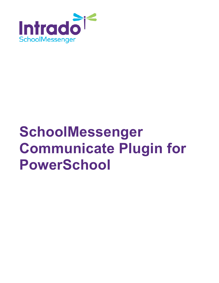

# **SchoolMessenger Communicate Plugin for PowerSchool**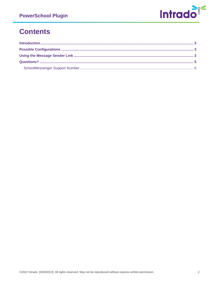

### **Contents**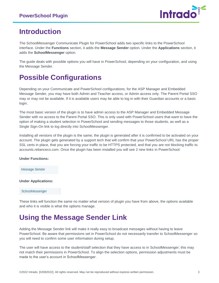

### <span id="page-2-0"></span>**Introduction**

The SchoolMessenger Communicate Plugin for PowerSchool adds two specific links to the PowerSchool interface. Under the **Functions** section, it adds the **Message Sender** option. Under the **Applications** section, it adds the **SchoolMessenger** option.

The guide deals with possible options you will have in PowerSchool, depending on your configuration, and using the Message Sender.

## <span id="page-2-1"></span>**Possible Configurations**

Depending on your Communicate and PowerSchool configurations, for the ASP Manager and Embedded Message Sender, you may have both Admin and Teacher access, or Admin access only. The Parent Portal SSO may or may not be available. If it is available users may be able to log in with their Guardian accounts or a basic login.

The most basic version of the plugin is to have admin access to the ASP Manager and Embedded Message Sender with no access to the Parent Portal SSO. This is only used with PowerSchool users that want to have the option of making a student selection in PowerSchool and sending messages to those students, as well as a Single Sign-On link to log directly into SchoolMessenger.

Installing all versions of the plugin is the same; the plugin is generated after it is confirmed to be activated on your account. The plugin gets generated by a support tech that will confirm that your PowerSchool URL has the proper SSL certs in place, that you are forcing your traffic to be HTTPS protected, and that you are not blocking traffic to accounts.relianceco.com. Once the plugin has been installed you will see 2 new links in PowerSchool:

#### **Under Functions:**

Message Sender

#### **Under Applications:**

#### SchoolMessenger

These links will function the same no matter what version of plugin you have from above, the options available and who it is visible is what the options manage.

### <span id="page-2-2"></span>**Using the Message Sender Link**

Adding the Message Sender link will make it really easy to broadcast messages without having to leave PowerSchool. Be aware that permissions set in PowerSchool do not necessarily transfer to SchoolMessenger so you will need to confirm some user information during setup.

The user will have access to the student/staff selection that they have access to in SchoolMessenger; this may not match their permissions in PowerSchool. To align the selection options, permission adjustments must be made to the user's account in SchoolMessenger.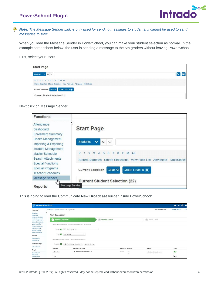

*Note: The Message Sender Link is only used for sending messages to students. It cannot be used to send messages to staff.*

When you load the Message Sender in PowerSchool, you can make your student selection as normal. In the example screenshots below, the user is sending a message to the 5th graders without leaving PowerSchool.

First, select your users.

| <b>Start Page</b>                                                                                   |  |
|-----------------------------------------------------------------------------------------------------|--|
| Students $\vee$ All $\vee$                                                                          |  |
| K 1 2 3 4 5 6 7 8 F M All<br>Stored Searches Stored Selections View Field List Advanced MultiSelect |  |
| Current Selection Clear All Grade Level: 5 (x)                                                      |  |
| <b>Current Student Selection (22)</b>                                                               |  |

Next click on Message Sender.

| <b>Functions</b>                                                  |                                                                           |
|-------------------------------------------------------------------|---------------------------------------------------------------------------|
| Attendance<br>Dashboard<br><b>Enrollment Summary</b>              | <b>Start Page</b>                                                         |
| Health Management<br>Importing & Exporting<br>Incident Management | $\checkmark$<br><b>Students</b><br>All<br>$\checkmark$                    |
| Master Schedule                                                   | K 1 2 3 4 5 6 7 8 F M All                                                 |
| <b>Search Attachments</b><br><b>Special Functions</b>             | Stored Searches Stored Selections View Field List Advanced<br>MultiSelect |
| <b>Special Programs</b><br><b>Teacher Schedules</b>               | Grade Level: $5(\hat{x})$<br><b>Clear All</b><br><b>Current Selection</b> |
| Message Sender<br>llm                                             | <b>Current Student Selection (22)</b>                                     |
| Message Sender<br>Reports                                         |                                                                           |

This is going to load the Communicate **New Broadcast** builder inside PowerSchool:

| <b>PowerSchool SIS</b>                                                    |                                                        |                                                                         |        |                   |         |                            |                     | $-0$<br>п.<br>Δ.         |
|---------------------------------------------------------------------------|--------------------------------------------------------|-------------------------------------------------------------------------|--------|-------------------|---------|----------------------------|---------------------|--------------------------|
| Functions                                                                 | Start Page > Special Functions > Message Sender        |                                                                         |        |                   |         |                            | Blur Students Data: | District Office V<br>21. |
| <b>Wendance</b><br>bashboard<br><b>Inrohment Summary</b>                  | $\bullet$<br><b>New Broadcast</b>                      |                                                                         |        |                   |         |                            |                     |                          |
| teath Management<br>mporting & Exporting                                  | <b>Subject &amp; Recipients</b><br>$\left( 1,1\right)$ |                                                                         |        | 2 Message Content |         |                            | 3 Review & Send     |                          |
| ncident Management<br><b>Aaster Schedule</b><br><b>Search Attachments</b> |                                                        | Specify a subject and select the desired message type for this message. |        |                   |         |                            |                     |                          |
| <b>Special Functions</b><br>Special Programs<br>eacher Schedules          | Subject <b>TV</b>                                      | O New Message for                                                       |        |                   |         |                            |                     |                          |
| Reports                                                                   | Type <b>or</b>                                         | <br><b>Expectation</b><br>٠                                             |        |                   |         |                            |                     |                          |
| lystem Reports<br><i><b>ReportMorks</b></i>                               |                                                        | -Select your message recipients. You can also include yourself.         |        |                   |         |                            |                     |                          |
| Jata Exchange                                                             | Recipients <b>Pa</b>                                   | <b>LE</b> And Message Recipients                                        | Add Me |                   |         |                            |                     |                          |
| VEDS 2021-22<br>People                                                    | <b>Actions</b>                                         | Recipient/List Name                                                     |        |                   |         | <b>Recipient Languages</b> | Targets             | Count                    |
| <b>Student Search</b>                                                     | $x -$                                                  | <b>JSL</b> PowerSchool Selection List                                   |        |                   | English | 22.<br>32                  | Contacts & Guardans | 60                       |
| staff Search<br><b>Contact Search</b><br>2 Contacts                       | Total                                                  |                                                                         |        |                   |         |                            |                     | <b>LED</b>               |